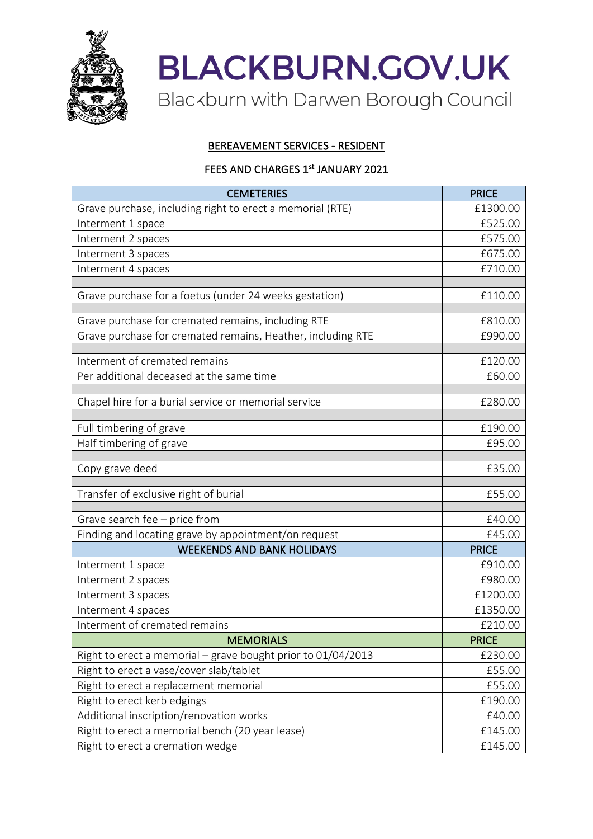

**BLACKBURN.GOV.UK** Blackburn with Darwen Borough Council

## BEREAVEMENT SERVICES - RESIDENT

## FEES AND CHARGES 1st JANUARY 2021

| <b>CEMETERIES</b>                                            | <b>PRICE</b> |
|--------------------------------------------------------------|--------------|
| Grave purchase, including right to erect a memorial (RTE)    | £1300.00     |
| Interment 1 space                                            | £525.00      |
| Interment 2 spaces                                           | £575.00      |
| Interment 3 spaces                                           | £675.00      |
| Interment 4 spaces                                           | £710.00      |
| Grave purchase for a foetus (under 24 weeks gestation)       | £110.00      |
|                                                              |              |
| Grave purchase for cremated remains, including RTE           | £810.00      |
| Grave purchase for cremated remains, Heather, including RTE  | £990.00      |
| Interment of cremated remains                                | £120.00      |
| Per additional deceased at the same time                     | £60.00       |
| Chapel hire for a burial service or memorial service         | £280.00      |
|                                                              |              |
| Full timbering of grave                                      | £190.00      |
| Half timbering of grave                                      | £95.00       |
| Copy grave deed                                              | £35.00       |
| Transfer of exclusive right of burial                        | £55.00       |
|                                                              |              |
| Grave search fee - price from                                | £40.00       |
| Finding and locating grave by appointment/on request         | £45.00       |
| <b>WEEKENDS AND BANK HOLIDAYS</b>                            | <b>PRICE</b> |
| Interment 1 space                                            | £910.00      |
| Interment 2 spaces                                           | £980.00      |
| Interment 3 spaces                                           | £1200.00     |
| Interment 4 spaces                                           | £1350.00     |
| Interment of cremated remains                                | £210.00      |
| <b>MEMORIALS</b>                                             | <b>PRICE</b> |
| Right to erect a memorial - grave bought prior to 01/04/2013 | £230.00      |
| Right to erect a vase/cover slab/tablet                      | £55.00       |
| Right to erect a replacement memorial                        | £55.00       |
| Right to erect kerb edgings                                  | £190.00      |
| Additional inscription/renovation works                      | £40.00       |
| Right to erect a memorial bench (20 year lease)              | £145.00      |
| Right to erect a cremation wedge                             | £145.00      |